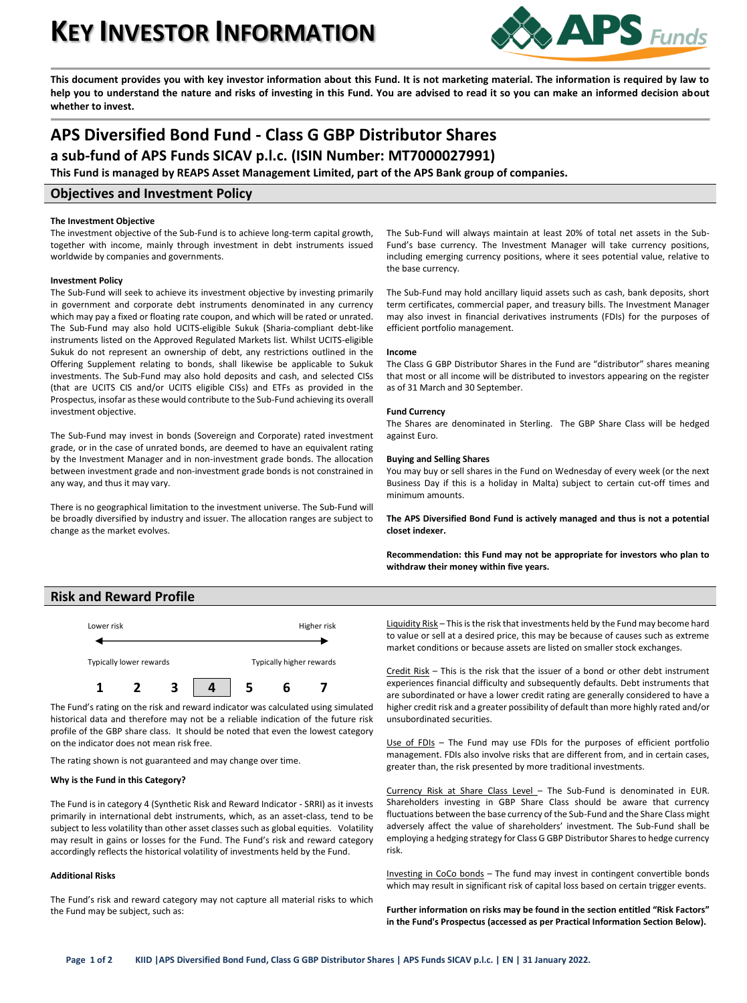# **KEY INVESTOR INFORMATION**



**This document provides you with key investor information about this Fund. It is not marketing material. The information is required by law to help you to understand the nature and risks of investing in this Fund. You are advised to read it so you can make an informed decision about whether to invest.**

## **APS Diversified Bond Fund - Class G GBP Distributor Shares**

**a sub-fund of APS Funds SICAV p.l.c. (ISIN Number: MT7000027991)**

**This Fund is managed by REAPS Asset Management Limited, part of the APS Bank group of companies.**

## **Objectives and Investment Policy**

#### **The Investment Objective**

The investment objective of the Sub-Fund is to achieve long-term capital growth, together with income, mainly through investment in debt instruments issued worldwide by companies and governments.

### **Investment Policy**

The Sub-Fund will seek to achieve its investment objective by investing primarily in government and corporate debt instruments denominated in any currency which may pay a fixed or floating rate coupon, and which will be rated or unrated. The Sub-Fund may also hold UCITS-eligible Sukuk (Sharia-compliant debt-like instruments listed on the Approved Regulated Markets list. Whilst UCITS-eligible Sukuk do not represent an ownership of debt, any restrictions outlined in the Offering Supplement relating to bonds, shall likewise be applicable to Sukuk investments. The Sub-Fund may also hold deposits and cash, and selected CISs (that are UCITS CIS and/or UCITS eligible CISs) and ETFs as provided in the Prospectus, insofar as these would contribute to the Sub-Fund achieving its overall investment objective.

The Sub-Fund may invest in bonds (Sovereign and Corporate) rated investment grade, or in the case of unrated bonds, are deemed to have an equivalent rating by the Investment Manager and in non-investment grade bonds. The allocation between investment grade and non-investment grade bonds is not constrained in any way, and thus it may vary.

There is no geographical limitation to the investment universe. The Sub-Fund will be broadly diversified by industry and issuer. The allocation ranges are subject to change as the market evolves.

The Sub-Fund will always maintain at least 20% of total net assets in the Sub-Fund's base currency. The Investment Manager will take currency positions, including emerging currency positions, where it sees potential value, relative to the base currency.

The Sub-Fund may hold ancillary liquid assets such as cash, bank deposits, short term certificates, commercial paper, and treasury bills. The Investment Manager may also invest in financial derivatives instruments (FDIs) for the purposes of efficient portfolio management.

#### **Income**

The Class G GBP Distributor Shares in the Fund are "distributor" shares meaning that most or all income will be distributed to investors appearing on the register as of 31 March and 30 September.

#### **Fund Currency**

The Shares are denominated in Sterling. The GBP Share Class will be hedged against Euro.

#### **Buying and Selling Shares**

You may buy or sell shares in the Fund on Wednesday of every week (or the next Business Day if this is a holiday in Malta) subject to certain cut-off times and minimum amounts.

**The APS Diversified Bond Fund is actively managed and thus is not a potential closet indexer.**

**Recommendation: this Fund may not be appropriate for investors who plan to withdraw their money within five years.**

## **Risk and Reward Profile**



The Fund's rating on the risk and reward indicator was calculated using simulated historical data and therefore may not be a reliable indication of the future risk profile of the GBP share class. It should be noted that even the lowest category on the indicator does not mean risk free.

The rating shown is not guaranteed and may change over time.

#### **Why is the Fund in this Category?**

The Fund is in category 4 (Synthetic Risk and Reward Indicator - SRRI) as it invests primarily in international debt instruments, which, as an asset-class, tend to be subject to less volatility than other asset classes such as global equities. Volatility may result in gains or losses for the Fund. The Fund's risk and reward category accordingly reflects the historical volatility of investments held by the Fund.

#### **Additional Risks**

The Fund's risk and reward category may not capture all material risks to which the Fund may be subject, such as:

Liquidity Risk - This is the risk that investments held by the Fund may become hard to value or sell at a desired price, this may be because of causes such as extreme market conditions or because assets are listed on smaller stock exchanges.

Credit Risk – This is the risk that the issuer of a bond or other debt instrument experiences financial difficulty and subsequently defaults. Debt instruments that are subordinated or have a lower credit rating are generally considered to have a higher credit risk and a greater possibility of default than more highly rated and/or unsubordinated securities.

Use of FDIs - The Fund may use FDIs for the purposes of efficient portfolio management. FDIs also involve risks that are different from, and in certain cases, greater than, the risk presented by more traditional investments.

Currency Risk at Share Class Level – The Sub-Fund is denominated in EUR. Shareholders investing in GBP Share Class should be aware that currency fluctuations between the base currency of the Sub-Fund and the Share Class might adversely affect the value of shareholders' investment. The Sub-Fund shall be employing a hedging strategy for Class G GBP Distributor Shares to hedge currency risk.

Investing in CoCo bonds – The fund may invest in contingent convertible bonds which may result in significant risk of capital loss based on certain trigger events.

**Further information on risks may be found in the section entitled "Risk Factors" in the Fund's Prospectus (accessed as per Practical Information Section Below).**